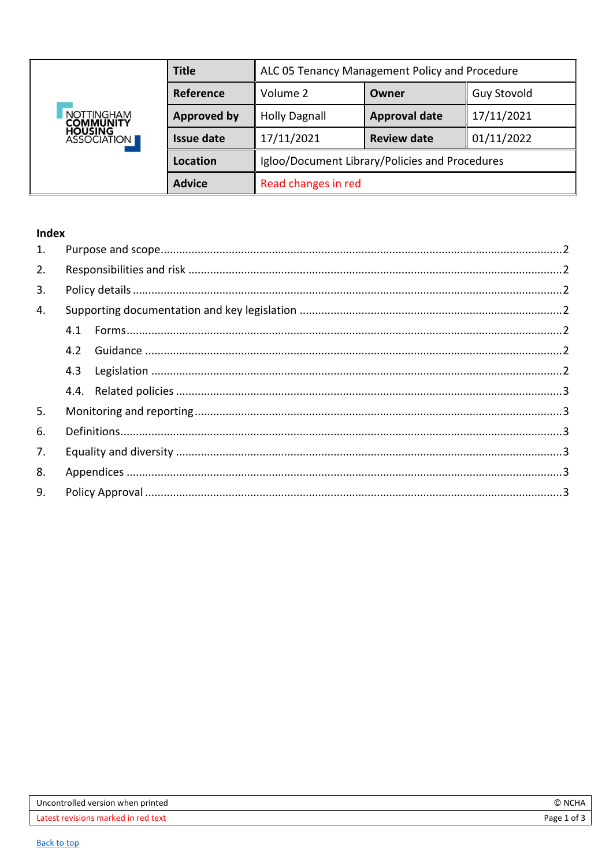<span id="page-0-0"></span>

| <b>NOTTINGHAM</b><br><b>COMMUNITY</b><br><b>HOUSING<br/>ASSOCIATION</b> | <b>Title</b>       | ALC 05 Tenancy Management Policy and Procedure |                      |                    |
|-------------------------------------------------------------------------|--------------------|------------------------------------------------|----------------------|--------------------|
|                                                                         | Reference          | Volume 2                                       | Owner                | <b>Guy Stovold</b> |
|                                                                         | <b>Approved by</b> | <b>Holly Dagnall</b>                           | <b>Approval date</b> | 17/11/2021         |
|                                                                         | <b>Issue date</b>  | 17/11/2021                                     | <b>Review date</b>   | 01/11/2022         |
|                                                                         | Location           | Igloo/Document Library/Policies and Procedures |                      |                    |
|                                                                         | <b>Advice</b>      | Read changes in red                            |                      |                    |

# Index

| 1. |     |  |
|----|-----|--|
| 2. |     |  |
| 3. |     |  |
| 4. |     |  |
|    | 4.1 |  |
|    | 4.2 |  |
|    | 4.3 |  |
|    |     |  |
| 5. |     |  |
| 6. |     |  |
| 7. |     |  |
| 8. |     |  |
| 9. |     |  |
|    |     |  |

| Uncontrolled version when printed   | O<br><b>NCHA</b> |
|-------------------------------------|------------------|
| Latest revisions marked in red text | Page 1<br>of 3   |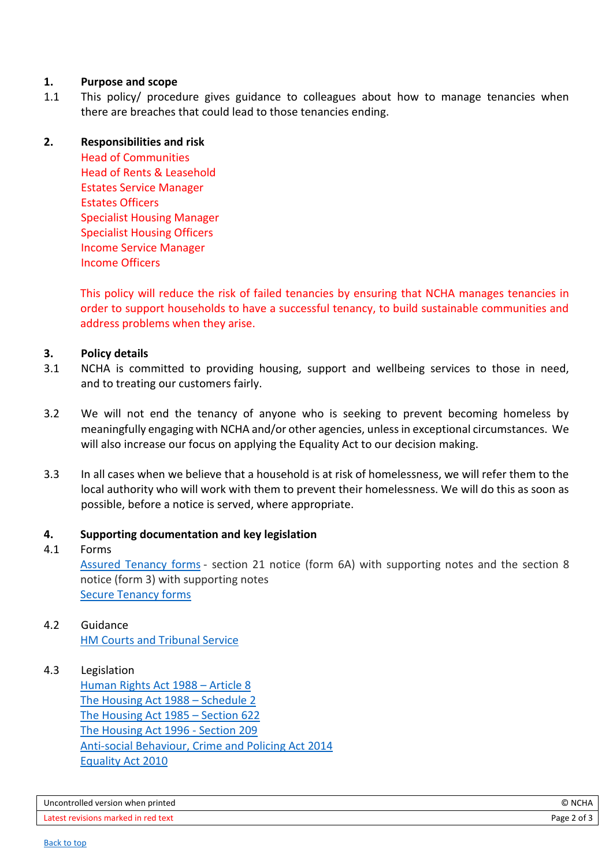## <span id="page-1-0"></span>**1. Purpose and scope**

1.1 This policy/ procedure gives guidance to colleagues about how to manage tenancies when there are breaches that could lead to those tenancies ending.

## <span id="page-1-1"></span>**2. Responsibilities and risk**

Head of Communities Head of Rents & Leasehold Estates Service Manager Estates Officers Specialist Housing Manager Specialist Housing Officers Income Service Manager Income Officers

This policy will reduce the risk of failed tenancies by ensuring that NCHA manages tenancies in order to support households to have a successful tenancy, to build sustainable communities and address problems when they arise.

## <span id="page-1-2"></span>**3. Policy details**

- 3.1 NCHA is committed to providing housing, support and wellbeing services to those in need, and to treating our customers fairly.
- 3.2 We will not end the tenancy of anyone who is seeking to prevent becoming homeless by meaningfully engaging with NCHA and/or other agencies, unless in exceptional circumstances. We will also increase our focus on applying the Equality Act to our decision making.
- 3.3 In all cases when we believe that a household is at risk of homelessness, we will refer them to the local authority who will work with them to prevent their homelessness. We will do this as soon as possible, before a notice is served, where appropriate.

#### <span id="page-1-3"></span>**4. Supporting documentation and key legislation**

#### <span id="page-1-4"></span>4.1 Forms

Assured [Tenancy](https://www.gov.uk/guidance/assured-tenancy-forms) forms - section 21 notice (form 6A) with supporting notes and the section 8 notice (form 3) with supporting notes Secure [Tenancy](https://www.gov.uk/guidance/secure-tenancy-forms) forms

<span id="page-1-5"></span>4.2 Guidance [HM Courts and Tribunal Service](https://www.gov.uk/government/organisations/hm-courts-and-tribunals-service)

#### <span id="page-1-6"></span>4.3 Legislation

[Human Rights Act 1988](https://www.legislation.gov.uk/ukpga/1998/42/schedule/1/part/I/chapter/7) – Article 8 [The Housing Act 1988](https://www.legislation.gov.uk/ukpga/1988/50/schedule/2) – Schedule 2 [The Housing Act 1985](https://www.legislation.gov.uk/ukpga/1985/68/section/622/1993-08-01) – Section 622 [The Housing Act 1996 -](https://www.legislation.gov.uk/ukpga/1996/52/section/209/enacted#:~:text=209Discharge%20of%20functions%3A%20arrangements,private%20landlord%20to%20provide%20accommodation.) Section 209 [Anti-social Behaviour, Crime and Policing Act 2014](https://www.legislation.gov.uk/ukpga/2014/12/contents) [Equality Act 2010](https://www.gov.uk/guidance/equality-act-2010-guidance)

| Uncontrolled version when printed   | © NCHA      |
|-------------------------------------|-------------|
| Latest revisions marked in red text | Page 2 of 3 |